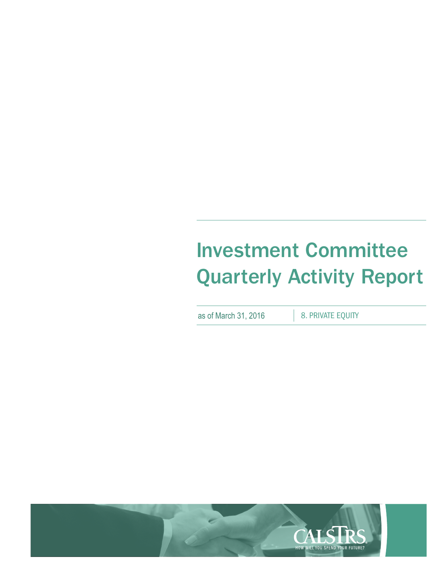# Investment Committee Quarterly Activity Report

as of March 31, 2016

8. PRIVATE EQUITY

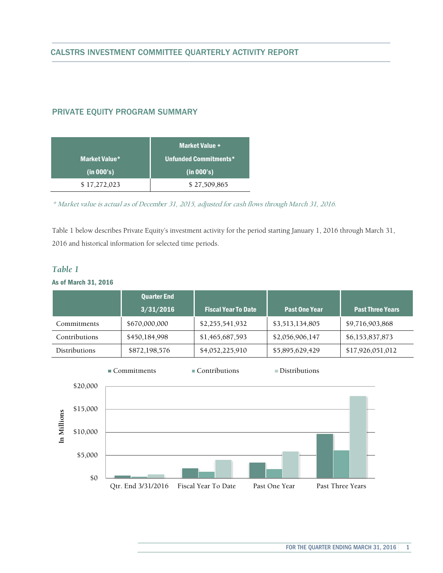### PRIVATE EQUITY PROGRAM SUMMARY

|                      | <b>Market Value +</b> |
|----------------------|-----------------------|
| <b>Market Value*</b> | Unfunded Commitments* |
| (in 000's)           | (in 000's)            |
| \$17,272,023         | \$27,509,865          |

\* Market value is actual as of December 31, 2015, adjusted for cash flows through March 31, 2016.

Table 1 below describes Private Equity's investment activity for the period starting January 1, 2016 through March 31, 2016 and historical information for selected time periods.

#### *Table 1*

#### As of March 31, 2016

|                      | <b>Quarter End</b> |                            |                      |                         |
|----------------------|--------------------|----------------------------|----------------------|-------------------------|
|                      | 3/31/2016          | <b>Fiscal Year To Date</b> | <b>Past One Year</b> | <b>Past Three Years</b> |
| Commitments          | \$670,000,000      | \$2,255,541,932            | \$3,513,134,805      | \$9,716,903,868         |
| Contributions        | \$450,184,998      | \$1,465,687,593            | \$2,056,906,147      | \$6,153,837,873         |
| <b>Distributions</b> | \$872,198,576      | \$4,052,225,910            | \$5,895,629,429      | \$17,926,051,012        |

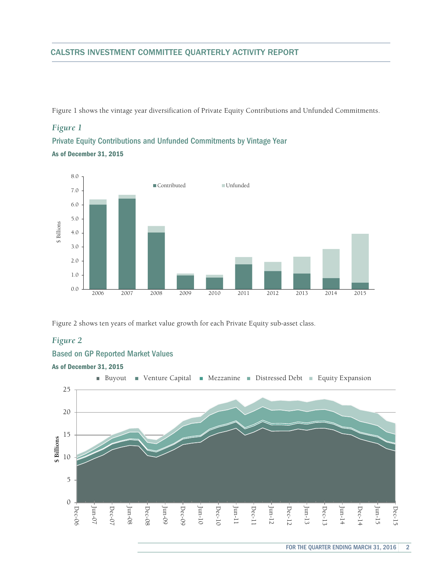#### CALSTRS INVESTMENT COMMITTEE QUARTERLY ACTIVITY REPORT

Figure 1 shows the vintage year diversification of Private Equity Contributions and Unfunded Commitments.

#### *Figure 1*

Private Equity Contributions and Unfunded Commitments by Vintage Year As of December 31, 2015



Figure 2 shows ten years of market value growth for each Private Equity sub-asset class.

#### *Figure 2*



# Based on GP Reported Market Values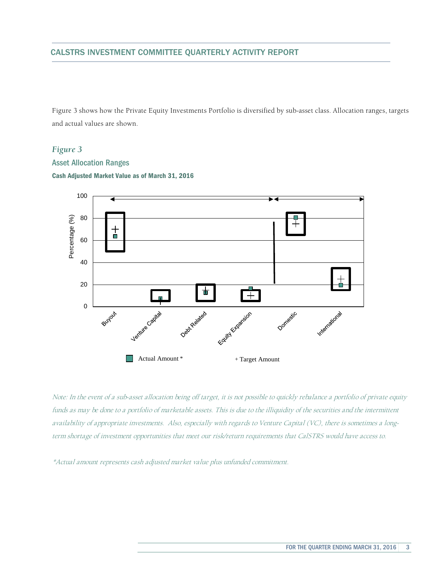#### CALSTRS INVESTMENT COMMITTEE QUARTERLY ACTIVITY REPORT

Figure 3 shows how the Private Equity Investments Portfolio is diversified by sub-asset class. Allocation ranges, targets and actual values are shown.

#### *Figure 3*

Asset Allocation Ranges



#### Cash Adjusted Market Value as of March 31, 2016

Note: In the event of a sub-asset allocation being off target, it is not possible to quickly rebalance a portfolio of private equity funds as may be done to a portfolio of marketable assets. This is due to the illiquidity of the securities and the intermittent availability of appropriate investments. Also, especially with regards to Venture Capital (VC), there is sometimes a longterm shortage of investment opportunities that meet our risk/return requirements that CalSTRS would have access to.

\*Actual amount represents cash adjusted market value plus unfunded commitment.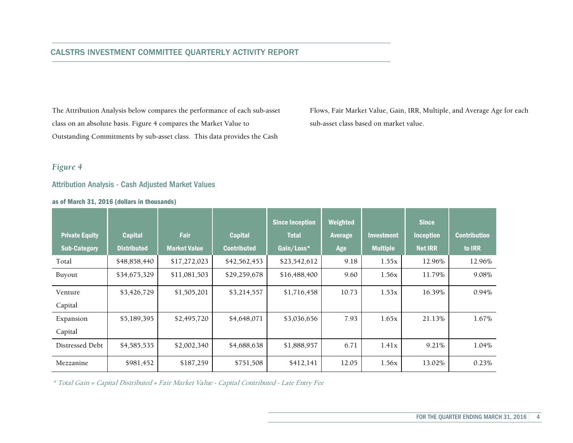The Attribution Analysis below compares the performance of each sub-asset class on an absolute basis. Figure 4 compares the Market Value to Outstanding Commitments by sub-asset class. This data provides the Cash

Flows, Fair Market Value, Gain, IRR, Multiple, and Average Age for each sub-asset class based on market value.

## *Figure 4*

#### Attribution Analysis - Cash Adjusted Market Values

#### as of March 31, 2016 (dollars in thousands)

|                       |                    |                     |                    | <b>Since Inception</b> | Weighted |                   | <b>Since</b>     |                     |
|-----------------------|--------------------|---------------------|--------------------|------------------------|----------|-------------------|------------------|---------------------|
| <b>Private Equity</b> | <b>Capital</b>     | <b>Fair</b>         | <b>Capital</b>     | <b>Total</b>           | Average  | <b>Investment</b> | <b>Inception</b> | <b>Contribution</b> |
| <b>Sub-Category</b>   | <b>Distributed</b> | <b>Market Value</b> | <b>Contributed</b> | Gain/Loss*             | Age      | <b>Multiple</b>   | <b>Net IRR</b>   | to IRR              |
| Total                 | \$48,858,440       | \$17,272,023        | \$42,562,453       | \$23,542,612           | 9.18     | 1.55x             | 12.96%           | 12.96%              |
| Buyout                | \$34,675,329       | \$11,081,503        | \$29,259,678       | \$16,488,400           | 9.60     | 1.56x             | 11.79%           | 9.08%               |
| Venture               | \$3,426,729        | \$1,505,201         | \$3,214,557        | \$1,716,458            | 10.73    | 1.53x             | 16.39%           | 0.94%               |
| Capital               |                    |                     |                    |                        |          |                   |                  |                     |
| Expansion             | \$5,189,395        | \$2,495,720         | \$4,648,071        | \$3,036,656            | 7.93     | 1.65x             | 21.13%           | 1.67%               |
| Capital               |                    |                     |                    |                        |          |                   |                  |                     |
| Distressed Debt       | \$4,585,535        | \$2,002,340         | \$4,688,638        | \$1,888,957            | 6.71     | 1.41x             | 9.21%            | 1.04%               |
| Mezzanine             | \$981,452          | \$187,259           | \$751,508          | \$412,141              | 12.05    | 1.56x             | 13.02%           | 0.23%               |

\* Total Gain = Capital Distributed + Fair Market Value - Capital Contributed - Late Entry Fee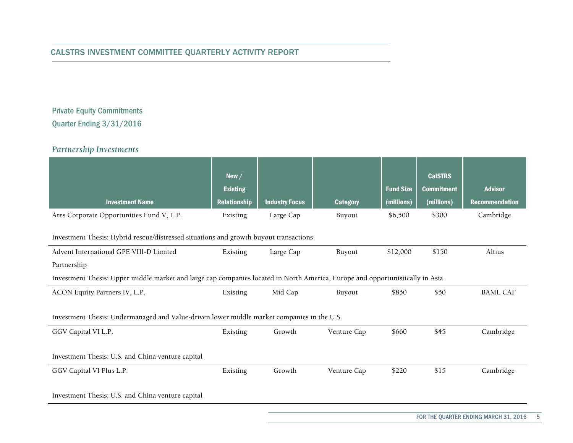# Private Equity Commitments Quarter Ending 3/31/2016

#### *Partnership Investments*

|                                                                                                                                | New/<br><b>Existing</b> |                       |                 | <b>Fund Size</b> | <b>CalSTRS</b><br><b>Commitment</b> | <b>Advisor</b>  |
|--------------------------------------------------------------------------------------------------------------------------------|-------------------------|-----------------------|-----------------|------------------|-------------------------------------|-----------------|
| <b>Investment Name</b>                                                                                                         | <b>Relationship</b>     | <b>Industry Focus</b> | <b>Category</b> | (millions)       | (millions)                          | Recommendation  |
| Ares Corporate Opportunities Fund V, L.P.                                                                                      | Existing                | Large Cap             | Buyout          | \$6,500          | \$300                               | Cambridge       |
| Investment Thesis: Hybrid rescue/distressed situations and growth buyout transactions                                          |                         |                       |                 |                  |                                     |                 |
| Advent International GPE VIII-D Limited                                                                                        | Existing                | Large Cap             | Buyout          | \$12,000         | \$150                               | Altius          |
| Partnership                                                                                                                    |                         |                       |                 |                  |                                     |                 |
| Investment Thesis: Upper middle market and large cap companies located in North America, Europe and opportunistically in Asia. |                         |                       |                 |                  |                                     |                 |
| ACON Equity Partners IV, L.P.                                                                                                  | Existing                | Mid Cap               | Buyout          | \$850            | \$50                                | <b>BAML CAF</b> |
| Investment Thesis: Undermanaged and Value-driven lower middle market companies in the U.S.                                     |                         |                       |                 |                  |                                     |                 |
| GGV Capital VI L.P.                                                                                                            | Existing                | Growth                | Venture Cap     | \$660            | \$45                                | Cambridge       |
| Investment Thesis: U.S. and China venture capital                                                                              |                         |                       |                 |                  |                                     |                 |
| GGV Capital VI Plus L.P.                                                                                                       | Existing                | Growth                | Venture Cap     | \$220            | \$15                                | Cambridge       |
| Investment Thesis: U.S. and China venture capital                                                                              |                         |                       |                 |                  |                                     |                 |